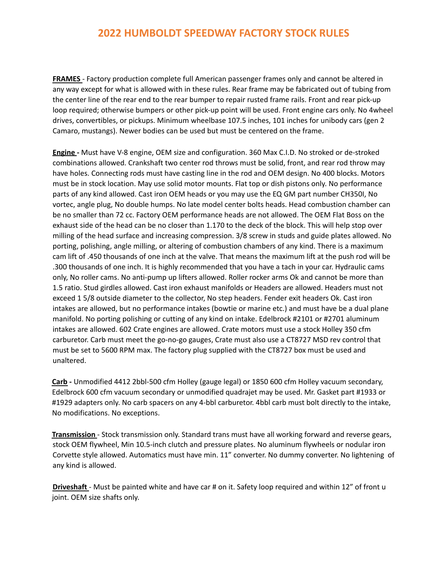## **2022 HUMBOLDT SPEEDWAY FACTORY STOCK RULES**

**FRAMES** - Factory production complete full American passenger frames only and cannot be altered in any way except for what is allowed with in these rules. Rear frame may be fabricated out of tubing from the center line of the rear end to the rear bumper to repair rusted frame rails. Front and rear pick-up loop required; otherwise bumpers or other pick-up point will be used. Front engine cars only. No 4wheel drives, convertibles, or pickups. Minimum wheelbase 107.5 inches, 101 inches for unibody cars (gen 2 Camaro, mustangs). Newer bodies can be used but must be centered on the frame.

**Engine -** Must have V-8 engine, OEM size and configuration. 360 Max C.I.D. No stroked or de-stroked combinations allowed. Crankshaft two center rod throws must be solid, front, and rear rod throw may have holes. Connecting rods must have casting line in the rod and OEM design. No 400 blocks. Motors must be in stock location. May use solid motor mounts. Flat top or dish pistons only. No performance parts of any kind allowed. Cast iron OEM heads or you may use the EQ GM part number CH350I, No vortec, angle plug, No double humps. No late model center bolts heads. Head combustion chamber can be no smaller than 72 cc. Factory OEM performance heads are not allowed. The OEM Flat Boss on the exhaust side of the head can be no closer than 1.170 to the deck of the block. This will help stop over milling of the head surface and increasing compression. 3/8 screw in studs and guide plates allowed. No porting, polishing, angle milling, or altering of combustion chambers of any kind. There is a maximum cam lift of .450 thousands of one inch at the valve. That means the maximum lift at the push rod will be .300 thousands of one inch. It is highly recommended that you have a tach in your car. Hydraulic cams only, No roller cams. No anti-pump up lifters allowed. Roller rocker arms Ok and cannot be more than 1.5 ratio. Stud girdles allowed. Cast iron exhaust manifolds or Headers are allowed. Headers must not exceed 1 5/8 outside diameter to the collector, No step headers. Fender exit headers Ok. Cast iron intakes are allowed, but no performance intakes (bowtie or marine etc.) and must have be a dual plane manifold. No porting polishing or cutting of any kind on intake. Edelbrock #2101 or #2701 aluminum intakes are allowed. 602 Crate engines are allowed. Crate motors must use a stock Holley 350 cfm carburetor. Carb must meet the go-no-go gauges, Crate must also use a CT8727 MSD rev control that must be set to 5600 RPM max. The factory plug supplied with the CT8727 box must be used and unaltered.

**Carb -** Unmodified 4412 2bbl-500 cfm Holley (gauge legal) or 1850 600 cfm Holley vacuum secondary, Edelbrock 600 cfm vacuum secondary or unmodified quadrajet may be used. Mr. Gasket part #1933 or #1929 adapters only. No carb spacers on any 4-bbl carburetor. 4bbl carb must bolt directly to the intake, No modifications. No exceptions.

**Transmission** - Stock transmission only. Standard trans must have all working forward and reverse gears, stock OEM flywheel, Min 10.5-inch clutch and pressure plates. No aluminum flywheels or nodular iron Corvette style allowed. Automatics must have min. 11" converter. No dummy converter. No lightening of any kind is allowed.

**Driveshaft** - Must be painted white and have car # on it. Safety loop required and within 12" of front u joint. OEM size shafts only.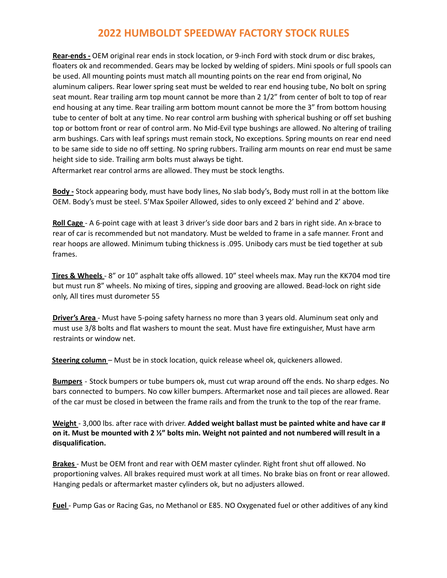## **2022 HUMBOLDT SPEEDWAY FACTORY STOCK RULES**

**Rear-ends -** OEM original rear ends in stock location, or 9-inch Ford with stock drum or disc brakes, floaters ok and recommended. Gears may be locked by welding of spiders. Mini spools or full spools can be used. All mounting points must match all mounting points on the rear end from original, No aluminum calipers. Rear lower spring seat must be welded to rear end housing tube, No bolt on spring seat mount. Rear trailing arm top mount cannot be more than 2 1/2" from center of bolt to top of rear end housing at any time. Rear trailing arm bottom mount cannot be more the 3" from bottom housing tube to center of bolt at any time. No rear control arm bushing with spherical bushing or off set bushing top or bottom front or rear of control arm. No Mid-Evil type bushings are allowed. No altering of trailing arm bushings. Cars with leaf springs must remain stock, No exceptions. Spring mounts on rear end need to be same side to side no off setting. No spring rubbers. Trailing arm mounts on rear end must be same height side to side. Trailing arm bolts must always be tight.

Aftermarket rear control arms are allowed. They must be stock lengths.

**Body -** Stock appearing body, must have body lines, No slab body's, Body must roll in at the bottom like OEM. Body's must be steel. 5'Max Spoiler Allowed, sides to only exceed 2' behind and 2' above.

**Roll Cage** - A 6-point cage with at least 3 driver's side door bars and 2 bars in right side. An x-brace to rear of car is recommended but not mandatory. Must be welded to frame in a safe manner. Front and rear hoops are allowed. Minimum tubing thickness is .095. Unibody cars must be tied together at sub frames.

**Tires & Wheels** - 8" or 10" asphalt take offs allowed. 10" steel wheels max. May run the KK704 mod tire but must run 8" wheels. No mixing of tires, sipping and grooving are allowed. Bead-lock on right side only, All tires must durometer 55

**Driver's Area** - Must have 5-poing safety harness no more than 3 years old. Aluminum seat only and must use 3/8 bolts and flat washers to mount the seat. Must have fire extinguisher, Must have arm restraints or window net.

**Steering column** – Must be in stock location, quick release wheel ok, quickeners allowed.

**Bumpers** - Stock bumpers or tube bumpers ok, must cut wrap around off the ends. No sharp edges. No bars connected to bumpers. No cow killer bumpers. Aftermarket nose and tail pieces are allowed. Rear of the car must be closed in between the frame rails and from the trunk to the top of the rear frame.

**Weight** - 3,000 lbs. after race with driver. **Added weight ballast must be painted white and have car #** on it. Must be mounted with 2 %" bolts min. Weight not painted and not numbered will result in a **disqualification.**

**Brakes** - Must be OEM front and rear with OEM master cylinder. Right front shut off allowed. No proportioning valves. All brakes required must work at all times. No brake bias on front or rear allowed. Hanging pedals or aftermarket master cylinders ok, but no adjusters allowed.

**Fuel** - Pump Gas or Racing Gas, no Methanol or E85. NO Oxygenated fuel or other additives of any kind